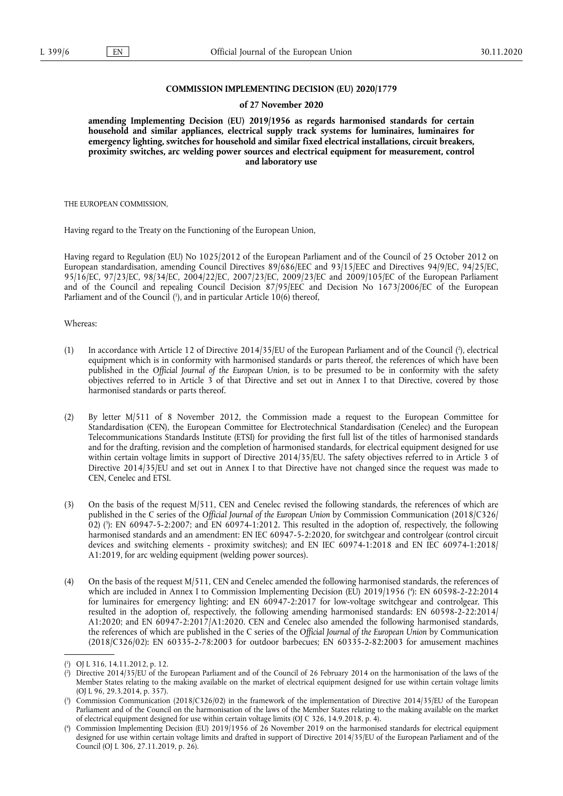### **COMMISSION IMPLEMENTING DECISION (EU) 2020/1779**

#### **of 27 November 2020**

**amending Implementing Decision (EU) 2019/1956 as regards harmonised standards for certain household and similar appliances, electrical supply track systems for luminaires, luminaires for emergency lighting, switches for household and similar fixed electrical installations, circuit breakers, proximity switches, arc welding power sources and electrical equipment for measurement, control and laboratory use** 

THE EUROPEAN COMMISSION,

Having regard to the Treaty on the Functioning of the European Union,

Having regard to Regulation (EU) No 1025/2012 of the European Parliament and of the Council of 25 October 2012 on European standardisation, amending Council Directives 89/686/EEC and 93/15/EEC and Directives 94/9/EC, 94/25/EC, 95/16/EC, 97/23/EC, 98/34/EC, 2004/22/EC, 2007/23/EC, 2009/23/EC and 2009/105/EC of the European Parliament and of the Council and repealing Council Decision 87/95/EEC and Decision No 1673/2006/EC of the European Parliament and of the Council [\(](#page-0-0)<sup>1</sup>), and in particular Article 10(6) thereof,

<span id="page-0-4"></span>Whereas:

- <span id="page-0-5"></span>[\(](#page-0-1)1) In accordance with Article 12 of Directive 2014/35/EU of the European Parliament and of the Council  $(2)$ , electrical equipment which is in conformity with harmonised standards or parts thereof, the references of which have been published in the *Official Journal of the European Union*, is to be presumed to be in conformity with the safety objectives referred to in Article 3 of that Directive and set out in Annex I to that Directive, covered by those harmonised standards or parts thereof.
- (2) By letter M/511 of 8 November 2012, the Commission made a request to the European Committee for Standardisation (CEN), the European Committee for Electrotechnical Standardisation (Cenelec) and the European Telecommunications Standards Institute (ETSI) for providing the first full list of the titles of harmonised standards and for the drafting, revision and the completion of harmonised standards, for electrical equipment designed for use within certain voltage limits in support of Directive 2014/35/EU. The safety objectives referred to in Article 3 of Directive 2014/35/EU and set out in Annex I to that Directive have not changed since the request was made to CEN, Cenelec and ETSI.
- <span id="page-0-6"></span>(3) On the basis of the request M/511, CEN and Cenelec revised the following standards, the references of which are published in the C series of the *Official Journal of the European Union* by Commission Communication (2018/C326/ 02) ( 3 [\):](#page-0-2) EN 60947-5-2:2007; and EN 60974-1:2012. This resulted in the adoption of, respectively, the following harmonised standards and an amendment: EN IEC 60947-5-2:2020, for switchgear and controlgear (control circuit devices and switching elements - proximity switches); and EN IEC 60974-1:2018 and EN IEC 60974-1:2018/ A1:2019, for arc welding equipment (welding power sources).
- <span id="page-0-7"></span>(4) On the basis of the request M/511, CEN and Cenelec amended the following harmonised standards, the references of which are included in Annex I to Commission Implementing Decision (EU) 2019/1956 ( 4 [\):](#page-0-3) EN 60598-2-22:2014 for luminaires for emergency lighting; and EN 60947-2:2017 for low-voltage switchgear and controlgear. This resulted in the adoption of, respectively, the following amending harmonised standards: EN 60598-2-22:2014/ A1:2020; and EN 60947-2:2017/A1:2020. CEN and Cenelec also amended the following harmonised standards, the references of which are published in the C series of the *Official Journal of the European Union* by Communication (2018/C326/02): EN 60335-2-78:2003 for outdoor barbecues; EN 60335-2-82:2003 for amusement machines

<span id="page-0-0"></span>[<sup>\(</sup>](#page-0-4) 1 ) OJ L 316, 14.11.2012, p. 12.

<span id="page-0-1"></span>[<sup>\(</sup>](#page-0-5) 2 ) Directive 2014/35/EU of the European Parliament and of the Council of 26 February 2014 on the harmonisation of the laws of the Member States relating to the making available on the market of electrical equipment designed for use within certain voltage limits (OJ L 96, 29.3.2014, p. 357).

<span id="page-0-2"></span>[<sup>\(</sup>](#page-0-6) 3 ) Commission Communication (2018/C326/02) in the framework of the implementation of Directive 2014/35/EU of the European Parliament and of the Council on the harmonisation of the laws of the Member States relating to the making available on the market of electrical equipment designed for use within certain voltage limits (OJ C 326, 14.9.2018, p. 4).

<span id="page-0-3"></span>[<sup>\(</sup>](#page-0-7) 4 ) Commission Implementing Decision (EU) 2019/1956 of 26 November 2019 on the harmonised standards for electrical equipment designed for use within certain voltage limits and drafted in support of Directive 2014/35/EU of the European Parliament and of the Council (OJ L 306, 27.11.2019, p. 26).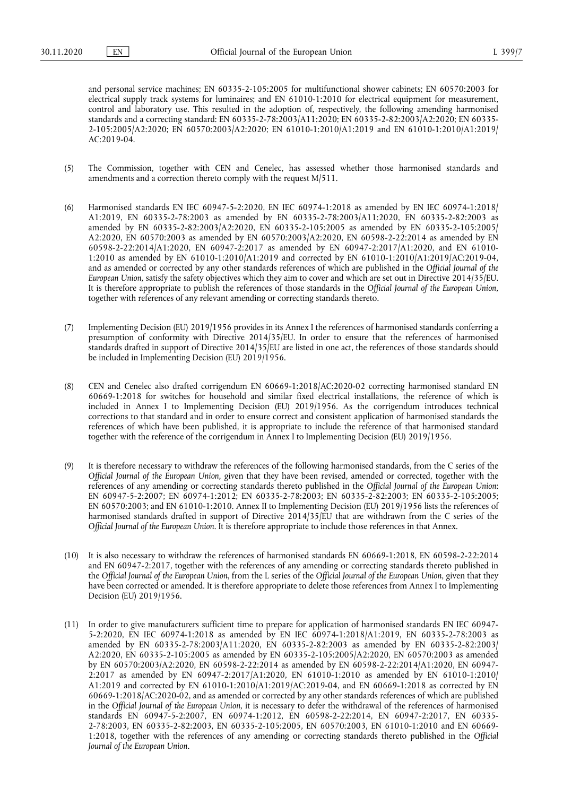and personal service machines; EN 60335-2-105:2005 for multifunctional shower cabinets; EN 60570:2003 for electrical supply track systems for luminaires; and EN 61010-1:2010 for electrical equipment for measurement, control and laboratory use. This resulted in the adoption of, respectively, the following amending harmonised standards and a correcting standard: EN 60335-2-78:2003/A11:2020; EN 60335-2-82:2003/A2:2020; EN 60335- 2-105:2005/A2:2020; EN 60570:2003/A2:2020; EN 61010-1:2010/A1:2019 and EN 61010-1:2010/A1:2019/ AC:2019-04.

- (5) The Commission, together with CEN and Cenelec, has assessed whether those harmonised standards and amendments and a correction thereto comply with the request M/511.
- (6) Harmonised standards EN IEC 60947-5-2:2020, EN IEC 60974-1:2018 as amended by EN IEC 60974-1:2018/ A1:2019, EN 60335-2-78:2003 as amended by EN 60335-2-78:2003/A11:2020, EN 60335-2-82:2003 as amended by EN 60335-2-82:2003/A2:2020, EN 60335-2-105:2005 as amended by EN 60335-2-105:2005/ A2:2020, EN 60570:2003 as amended by EN 60570:2003/A2:2020, EN 60598-2-22:2014 as amended by EN 60598-2-22:2014/A1:2020, EN 60947-2:2017 as amended by EN 60947-2:2017/A1:2020, and EN 61010- 1:2010 as amended by EN 61010-1:2010/A1:2019 and corrected by EN 61010-1:2010/A1:2019/AC:2019-04, and as amended or corrected by any other standards references of which are published in the *Official Journal of the European Union,* satisfy the safety objectives which they aim to cover and which are set out in Directive 2014/35/EU. It is therefore appropriate to publish the references of those standards in the *Official Journal of the European Union,*  together with references of any relevant amending or correcting standards thereto.
- (7) Implementing Decision (EU) 2019/1956 provides in its Annex I the references of harmonised standards conferring a presumption of conformity with Directive 2014/35/EU. In order to ensure that the references of harmonised standards drafted in support of Directive 2014/35/EU are listed in one act, the references of those standards should be included in Implementing Decision (EU) 2019/1956.
- (8) CEN and Cenelec also drafted corrigendum EN 60669-1:2018/AC:2020-02 correcting harmonised standard EN 60669-1:2018 for switches for household and similar fixed electrical installations, the reference of which is included in Annex I to Implementing Decision (EU) 2019/1956. As the corrigendum introduces technical corrections to that standard and in order to ensure correct and consistent application of harmonised standards the references of which have been published, it is appropriate to include the reference of that harmonised standard together with the reference of the corrigendum in Annex I to Implementing Decision (EU) 2019/1956.
- (9) It is therefore necessary to withdraw the references of the following harmonised standards, from the C series of the *Official Journal of the European Union,* given that they have been revised, amended or corrected, together with the references of any amending or correcting standards thereto published in the *Official Journal of the European Union*: EN 60947-5-2:2007; EN 60974-1:2012; EN 60335-2-78:2003; EN 60335-2-82:2003; EN 60335-2-105:2005; EN 60570:2003; and EN 61010-1:2010. Annex II to Implementing Decision (EU) 2019/1956 lists the references of harmonised standards drafted in support of Directive 2014/35/EU that are withdrawn from the C series of the *Official Journal of the European Union*. It is therefore appropriate to include those references in that Annex.
- (10) It is also necessary to withdraw the references of harmonised standards EN 60669-1:2018, EN 60598-2-22:2014 and EN 60947-2:2017, together with the references of any amending or correcting standards thereto published in the *Official Journal of the European Union*, from the L series of the *Official Journal of the European Union*, given that they have been corrected or amended. It is therefore appropriate to delete those references from Annex I to Implementing Decision (EU) 2019/1956.
- (11) In order to give manufacturers sufficient time to prepare for application of harmonised standards EN IEC 60947- 5-2:2020, EN IEC 60974-1:2018 as amended by EN IEC 60974-1:2018/A1:2019, EN 60335-2-78:2003 as amended by EN 60335-2-78:2003/A11:2020, EN 60335-2-82:2003 as amended by EN 60335-2-82:2003/ A2:2020, EN 60335-2-105:2005 as amended by EN 60335-2-105:2005/A2:2020, EN 60570:2003 as amended by EN 60570:2003/A2:2020, EN 60598-2-22:2014 as amended by EN 60598-2-22:2014/A1:2020, EN 60947- 2:2017 as amended by EN 60947-2:2017/A1:2020, EN 61010-1:2010 as amended by EN 61010-1:2010/ A1:2019 and corrected by EN 61010-1:2010/A1:2019/AC:2019-04, and EN 60669-1:2018 as corrected by EN 60669-1:2018/AC:2020-02, and as amended or corrected by any other standards references of which are published in the *Official Journal of the European Union,* it is necessary to defer the withdrawal of the references of harmonised standards EN 60947-5-2:2007, EN 60974-1:2012, EN 60598-2-22:2014, EN 60947-2:2017, EN 60335- 2-78:2003, EN 60335-2-82:2003, EN 60335-2-105:2005, EN 60570:2003, EN 61010-1:2010 and EN 60669- 1:2018, together with the references of any amending or correcting standards thereto published in the *Official Journal of the European Union.*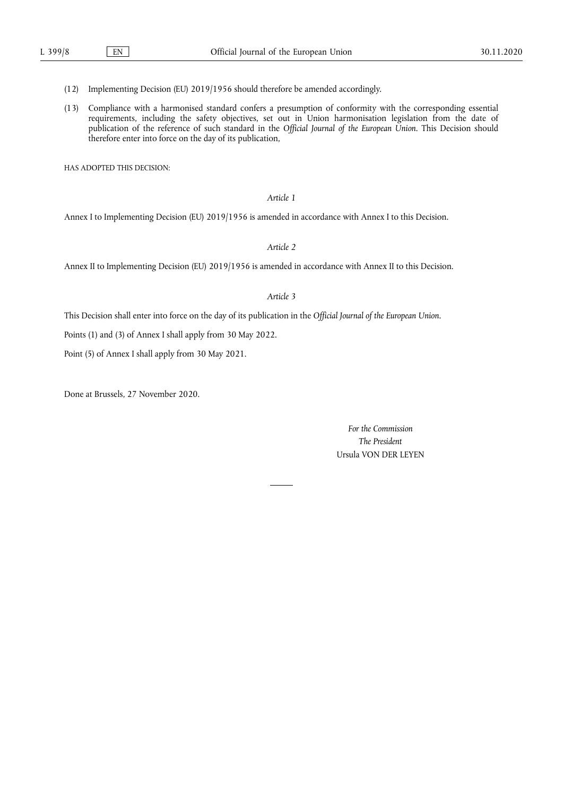- (12) Implementing Decision (EU) 2019/1956 should therefore be amended accordingly.
- (13) Compliance with a harmonised standard confers a presumption of conformity with the corresponding essential requirements, including the safety objectives, set out in Union harmonisation legislation from the date of publication of the reference of such standard in the *Official Journal of the European Union*. This Decision should therefore enter into force on the day of its publication,

HAS ADOPTED THIS DECISION:

### *Article 1*

Annex I to Implementing Decision (EU) 2019/1956 is amended in accordance with Annex I to this Decision.

*Article 2* 

Annex II to Implementing Decision (EU) 2019/1956 is amended in accordance with Annex II to this Decision.

#### *Article 3*

This Decision shall enter into force on the day of its publication in the *Official Journal of the European Union*.

Points (1) and (3) of Annex I shall apply from 30 May 2022.

Point (5) of Annex I shall apply from 30 May 2021.

Done at Brussels, 27 November 2020.

*For the Commission The President*  Ursula VON DER LEYEN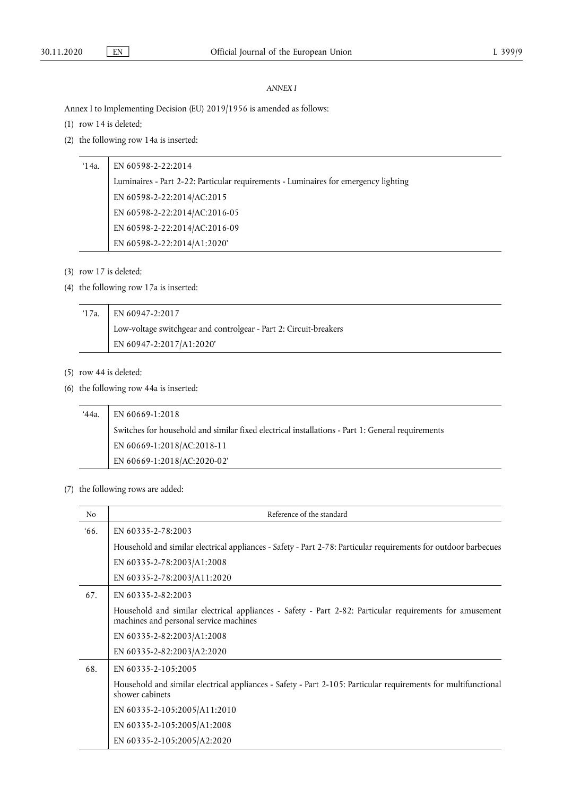### *ANNEX I*

Annex I to Implementing Decision (EU) 2019/1956 is amended as follows:

- (1) row 14 is deleted;
- (2) the following row 14a is inserted:

# '14a. EN 60598-2-22:2014

Luminaires - Part 2-22: Particular requirements - Luminaires for emergency lighting EN 60598-2-22:2014/AC:2015 EN 60598-2-22:2014/AC:2016-05 EN 60598-2-22:2014/AC:2016-09 EN 60598-2-22:2014/A1:2020'

- (3) row 17 is deleted;
- (4) the following row 17a is inserted:

| $17a.$ EN 60947-2:2017                                            |
|-------------------------------------------------------------------|
| Low-voltage switchgear and controlgear - Part 2: Circuit-breakers |
| EN 60947-2:2017/A1:2020'                                          |

- (5) row 44 is deleted;
- (6) the following row 44a is inserted:

| '44a. | EN 60669-1:2018                                                                                  |
|-------|--------------------------------------------------------------------------------------------------|
|       | Switches for household and similar fixed electrical installations - Part 1: General requirements |
|       | EN 60669-1:2018/AC:2018-11                                                                       |
|       | EN 60669-1:2018/AC:2020-02'                                                                      |

## (7) the following rows are added:

| No  | Reference of the standard                                                                                                                         |
|-----|---------------------------------------------------------------------------------------------------------------------------------------------------|
| 66. | EN 60335-2-78:2003                                                                                                                                |
|     | Household and similar electrical appliances - Safety - Part 2-78: Particular requirements for outdoor barbecues                                   |
|     | EN 60335-2-78:2003/A1:2008                                                                                                                        |
|     | EN 60335-2-78:2003/A11:2020                                                                                                                       |
| 67. | EN 60335-2-82:2003                                                                                                                                |
|     | Household and similar electrical appliances - Safety - Part 2-82: Particular requirements for amusement<br>machines and personal service machines |
|     | EN 60335-2-82:2003/A1:2008                                                                                                                        |
|     | EN 60335-2-82:2003/A2:2020                                                                                                                        |
| 68. | EN 60335-2-105:2005                                                                                                                               |
|     | Household and similar electrical appliances - Safety - Part 2-105: Particular requirements for multifunctional<br>shower cabinets                 |
|     | EN 60335-2-105:2005/A11:2010                                                                                                                      |
|     | EN 60335-2-105:2005/A1:2008                                                                                                                       |
|     | EN 60335-2-105:2005/A2:2020                                                                                                                       |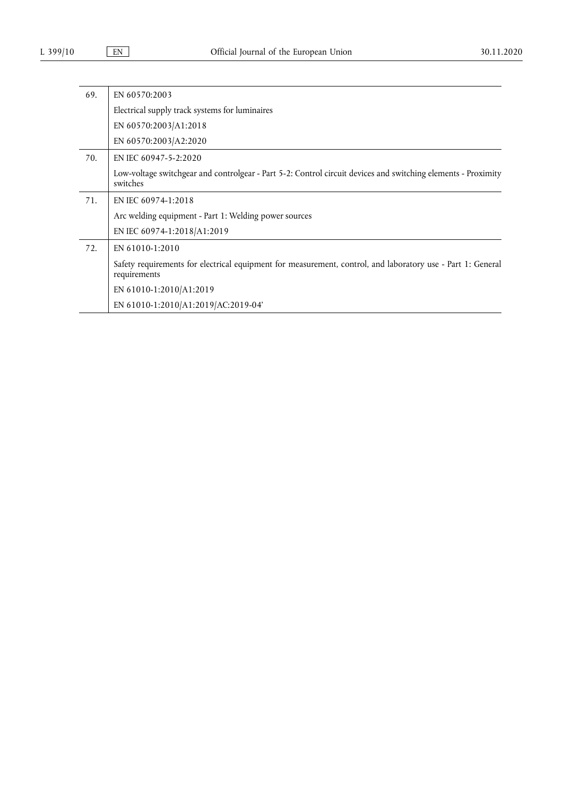| 69. | EN 60570:2003                                                                                                               |
|-----|-----------------------------------------------------------------------------------------------------------------------------|
|     | Electrical supply track systems for luminaires                                                                              |
|     | EN 60570:2003/A1:2018                                                                                                       |
|     | EN 60570:2003/A2:2020                                                                                                       |
| 70. | EN IEC 60947-5-2:2020                                                                                                       |
|     | Low-voltage switchgear and controlgear - Part 5-2: Control circuit devices and switching elements - Proximity<br>switches   |
| 71. | EN IEC 60974-1:2018                                                                                                         |
|     | Arc welding equipment - Part 1: Welding power sources                                                                       |
|     | EN IEC 60974-1:2018/A1:2019                                                                                                 |
| 72. | EN 61010-1:2010                                                                                                             |
|     | Safety requirements for electrical equipment for measurement, control, and laboratory use - Part 1: General<br>requirements |
|     | EN 61010-1:2010/A1:2019                                                                                                     |
|     | EN 61010-1:2010/A1:2019/AC:2019-04'                                                                                         |